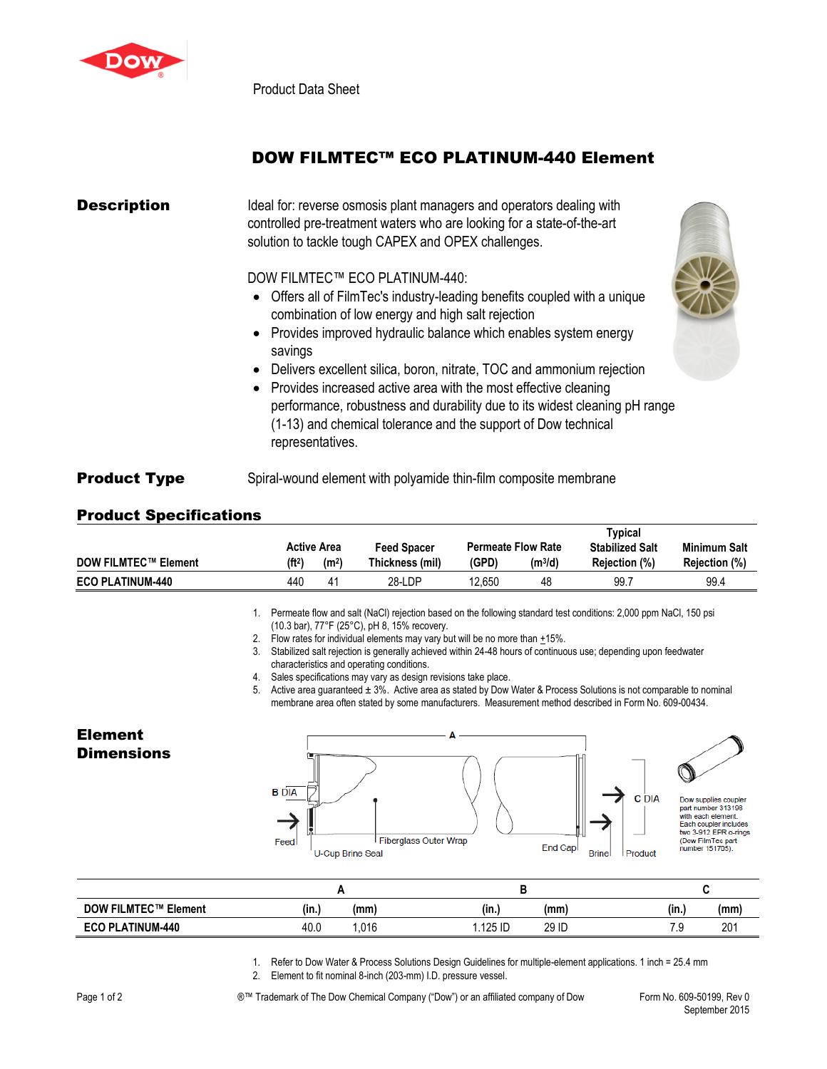

Product Data Sheet

## DOW FILMTEC™ ECO PLATINUM-440 Element

| <b>Description</b>  | Ideal for: reverse osmosis plant managers and operators dealing with<br>controlled pre-treatment waters who are looking for a state-of-the-art<br>solution to tackle tough CAPEX and OPEX challenges.<br>DOW FILMTEC™ ECO PLATINUM-440:<br>• Offers all of FilmTec's industry-leading benefits coupled with a unique<br>combination of low energy and high salt rejection<br>• Provides improved hydraulic balance which enables system energy<br>savings<br>• Delivers excellent silica, boron, nitrate, TOC and ammonium rejection<br>• Provides increased active area with the most effective cleaning<br>performance, robustness and durability due to its widest cleaning pH range<br>(1-13) and chemical tolerance and the support of Dow technical<br>representatives. |  |
|---------------------|-------------------------------------------------------------------------------------------------------------------------------------------------------------------------------------------------------------------------------------------------------------------------------------------------------------------------------------------------------------------------------------------------------------------------------------------------------------------------------------------------------------------------------------------------------------------------------------------------------------------------------------------------------------------------------------------------------------------------------------------------------------------------------|--|
| <b>Product Type</b> | Spiral-wound element with polyamide thin-film composite membrane                                                                                                                                                                                                                                                                                                                                                                                                                                                                                                                                                                                                                                                                                                              |  |

## Product Specifications

|                             |                    |                    |                 |        |                           | Typical                |                      |
|-----------------------------|--------------------|--------------------|-----------------|--------|---------------------------|------------------------|----------------------|
|                             |                    | <b>Active Area</b> | Feed Spacer     |        | <b>Permeate Flow Rate</b> | <b>Stabilized Salt</b> | <b>Minimum Salt</b>  |
| <b>DOW FILMTEC™ Element</b> | (ft <sup>2</sup> ) | (m <sup>2</sup> )  | Thickness (mil) | (GPD)  | (m <sup>3</sup> /d)       | Rejection (%)          | <b>Rejection (%)</b> |
| <b>ECO PLATINUM-440</b>     | 440                | 41                 | 28-LDP          | 12.650 | 48                        | 99.                    | 99.4                 |

1. Permeate flow and salt (NaCl) rejection based on the following standard test conditions: 2,000 ppm NaCl, 150 psi (10.3 bar), 77°F (25°C), pH 8, 15% recovery.

- 2. Flow rates for individual elements may vary but will be no more than  $+15\%$ .
- 3. Stabilized salt rejection is generally achieved within 24-48 hours of continuous use; depending upon feedwater characteristics and operating conditions.
- 4. Sales specifications may vary as design revisions take place.<br>5. Active area quaranteed  $\pm 3\%$ . Active area as stated by Dow

Active area guaranteed ± 3%. Active area as stated by Dow Water & Process Solutions is not comparable to nominal membrane area often stated by some manufacturers. Measurement method described in Form No. 609-00434.



| <b>DOW FILMTEC™ Element</b>  | $\cdots$<br>(in., | (mm) | (mm)<br>(in.     | (in.)        | (mm, |
|------------------------------|-------------------|------|------------------|--------------|------|
| <b>ECO PL</b><br>.ATINUM-440 | 40.0              | .016 | 29 ID<br>.125 ID | - -<br>∼<br> | 201  |

1. Refer to Dow Water & Process Solutions Design Guidelines for multiple-element applications. 1 inch = 25.4 mm

2. Element to fit nominal 8-inch (203-mm) I.D. pressure vessel.